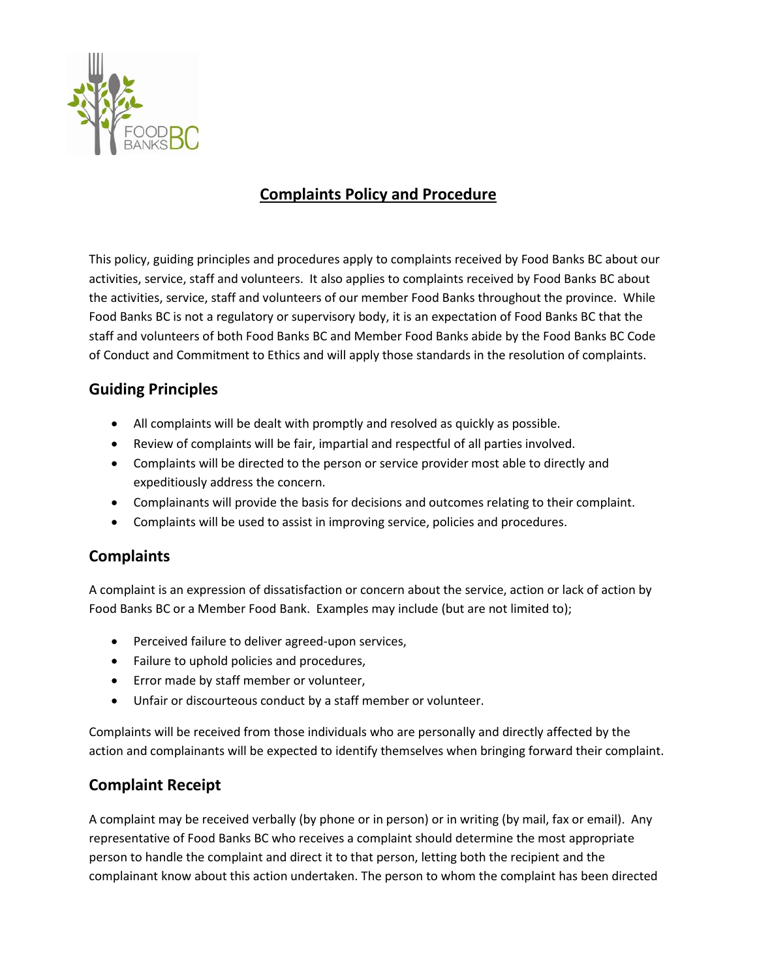

# **Complaints Policy and Procedure**

This policy, guiding principles and procedures apply to complaints received by Food Banks BC about our activities, service, staff and volunteers. It also applies to complaints received by Food Banks BC about the activities, service, staff and volunteers of our member Food Banks throughout the province. While Food Banks BC is not a regulatory or supervisory body, it is an expectation of Food Banks BC that the staff and volunteers of both Food Banks BC and Member Food Banks abide by the Food Banks BC Code of Conduct and Commitment to Ethics and will apply those standards in the resolution of complaints.

### **Guiding Principles**

- All complaints will be dealt with promptly and resolved as quickly as possible.
- Review of complaints will be fair, impartial and respectful of all parties involved.
- Complaints will be directed to the person or service provider most able to directly and expeditiously address the concern.
- Complainants will provide the basis for decisions and outcomes relating to their complaint.
- Complaints will be used to assist in improving service, policies and procedures.

#### **Complaints**

A complaint is an expression of dissatisfaction or concern about the service, action or lack of action by Food Banks BC or a Member Food Bank. Examples may include (but are not limited to);

- Perceived failure to deliver agreed-upon services,
- Failure to uphold policies and procedures,
- Error made by staff member or volunteer,
- Unfair or discourteous conduct by a staff member or volunteer.

Complaints will be received from those individuals who are personally and directly affected by the action and complainants will be expected to identify themselves when bringing forward their complaint.

## **Complaint Receipt**

A complaint may be received verbally (by phone or in person) or in writing (by mail, fax or email). Any representative of Food Banks BC who receives a complaint should determine the most appropriate person to handle the complaint and direct it to that person, letting both the recipient and the complainant know about this action undertaken. The person to whom the complaint has been directed